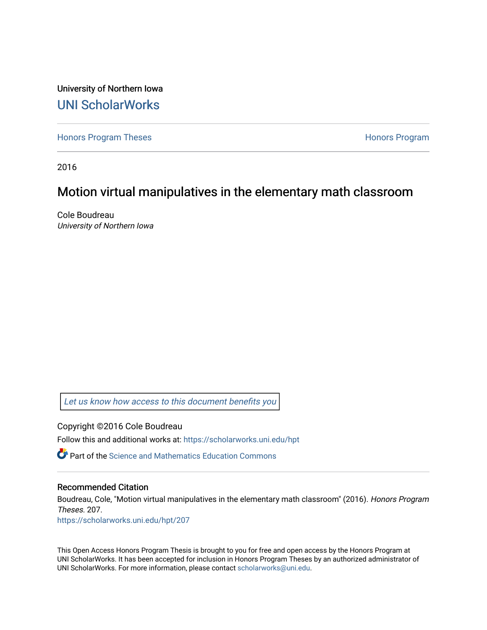University of Northern Iowa [UNI ScholarWorks](https://scholarworks.uni.edu/) 

[Honors Program Theses](https://scholarworks.uni.edu/hpt) **Honors Program** Honors Program

2016

# Motion virtual manipulatives in the elementary math classroom

Cole Boudreau University of Northern Iowa

[Let us know how access to this document benefits you](https://scholarworks.uni.edu/feedback_form.html) 

Copyright ©2016 Cole Boudreau

Follow this and additional works at: [https://scholarworks.uni.edu/hpt](https://scholarworks.uni.edu/hpt?utm_source=scholarworks.uni.edu%2Fhpt%2F207&utm_medium=PDF&utm_campaign=PDFCoverPages) 

 $\bullet$  Part of the Science and Mathematics Education Commons

#### Recommended Citation

Boudreau, Cole, "Motion virtual manipulatives in the elementary math classroom" (2016). Honors Program Theses. 207.

[https://scholarworks.uni.edu/hpt/207](https://scholarworks.uni.edu/hpt/207?utm_source=scholarworks.uni.edu%2Fhpt%2F207&utm_medium=PDF&utm_campaign=PDFCoverPages) 

This Open Access Honors Program Thesis is brought to you for free and open access by the Honors Program at UNI ScholarWorks. It has been accepted for inclusion in Honors Program Theses by an authorized administrator of UNI ScholarWorks. For more information, please contact [scholarworks@uni.edu.](mailto:scholarworks@uni.edu)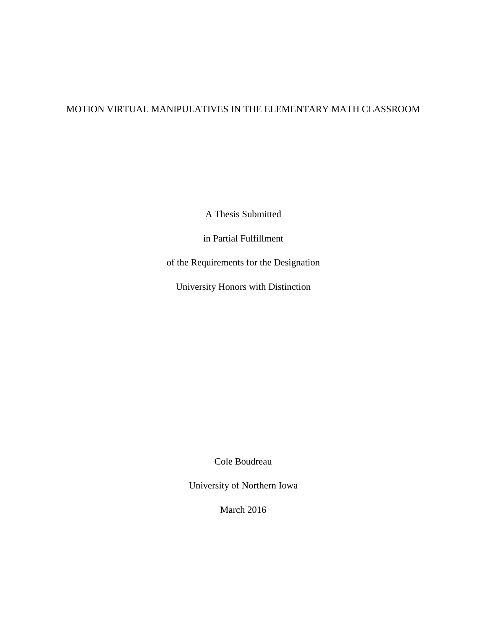## MOTION VIRTUAL MANIPULATIVES IN THE ELEMENTARY MATH CLASSROOM

A Thesis Submitted

in Partial Fulfillment

of the Requirements for the Designation

University Honors with Distinction

Cole Boudreau

University of Northern Iowa

March 2016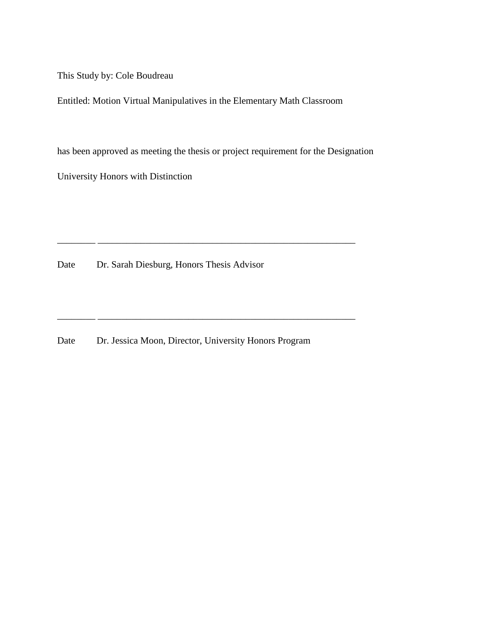This Study by: Cole Boudreau

Entitled: Motion Virtual Manipulatives in the Elementary Math Classroom

has been approved as meeting the thesis or project requirement for the Designation

\_\_\_\_\_\_\_\_ \_\_\_\_\_\_\_\_\_\_\_\_\_\_\_\_\_\_\_\_\_\_\_\_\_\_\_\_\_\_\_\_\_\_\_\_\_\_\_\_\_\_\_\_\_\_\_\_\_\_\_\_\_\_

\_\_\_\_\_\_\_\_ \_\_\_\_\_\_\_\_\_\_\_\_\_\_\_\_\_\_\_\_\_\_\_\_\_\_\_\_\_\_\_\_\_\_\_\_\_\_\_\_\_\_\_\_\_\_\_\_\_\_\_\_\_\_

University Honors with Distinction

Date Dr. Sarah Diesburg, Honors Thesis Advisor

Date Dr. Jessica Moon, Director, University Honors Program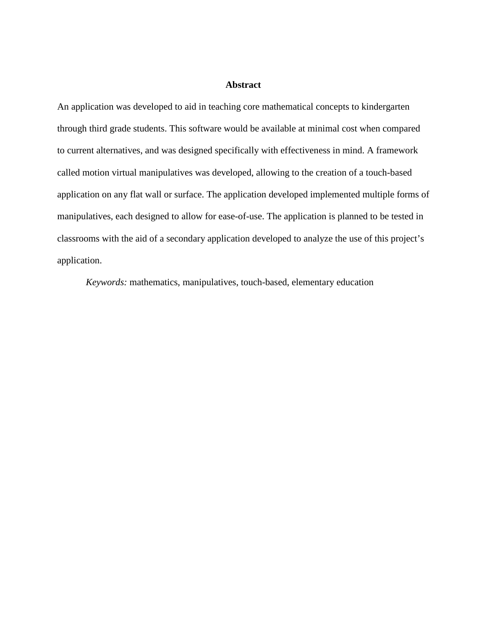## **Abstract**

An application was developed to aid in teaching core mathematical concepts to kindergarten through third grade students. This software would be available at minimal cost when compared to current alternatives, and was designed specifically with effectiveness in mind. A framework called motion virtual manipulatives was developed, allowing to the creation of a touch-based application on any flat wall or surface. The application developed implemented multiple forms of manipulatives, each designed to allow for ease-of-use. The application is planned to be tested in classrooms with the aid of a secondary application developed to analyze the use of this project's application.

*Keywords:* mathematics, manipulatives, touch-based, elementary education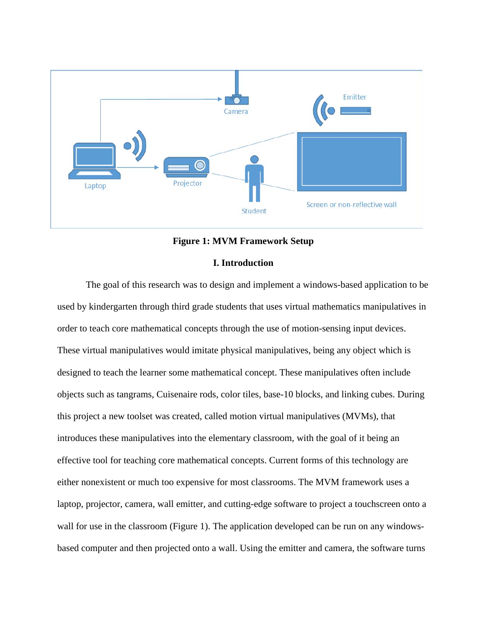

#### **Figure 1: MVM Framework Setup**

## **I. Introduction**

The goal of this research was to design and implement a windows-based application to be used by kindergarten through third grade students that uses virtual mathematics manipulatives in order to teach core mathematical concepts through the use of motion-sensing input devices. These virtual manipulatives would imitate physical manipulatives, being any object which is designed to teach the learner some mathematical concept. These manipulatives often include objects such as tangrams, Cuisenaire rods, color tiles, base-10 blocks, and linking cubes. During this project a new toolset was created, called motion virtual manipulatives (MVMs), that introduces these manipulatives into the elementary classroom, with the goal of it being an effective tool for teaching core mathematical concepts. Current forms of this technology are either nonexistent or much too expensive for most classrooms. The MVM framework uses a laptop, projector, camera, wall emitter, and cutting-edge software to project a touchscreen onto a wall for use in the classroom (Figure 1). The application developed can be run on any windowsbased computer and then projected onto a wall. Using the emitter and camera, the software turns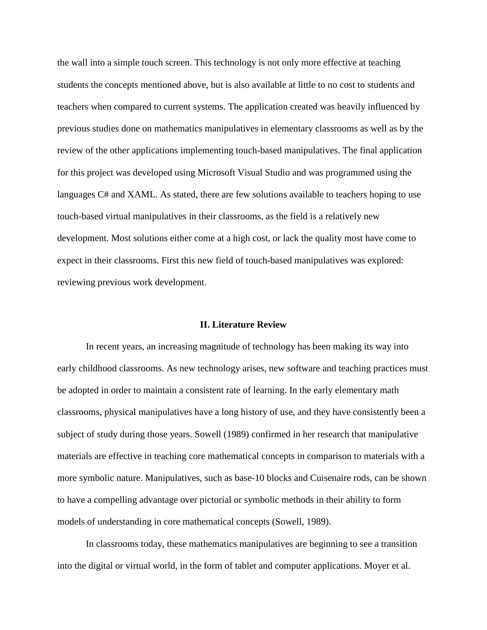the wall into a simple touch screen. This technology is not only more effective at teaching students the concepts mentioned above, but is also available at little to no cost to students and teachers when compared to current systems. The application created was heavily influenced by previous studies done on mathematics manipulatives in elementary classrooms as well as by the review of the other applications implementing touch-based manipulatives. The final application for this project was developed using Microsoft Visual Studio and was programmed using the languages C# and XAML. As stated, there are few solutions available to teachers hoping to use touch-based virtual manipulatives in their classrooms, as the field is a relatively new development. Most solutions either come at a high cost, or lack the quality most have come to expect in their classrooms. First this new field of touch-based manipulatives was explored: reviewing previous work development.

#### **II. Literature Review**

In recent years, an increasing magnitude of technology has been making its way into early childhood classrooms. As new technology arises, new software and teaching practices must be adopted in order to maintain a consistent rate of learning. In the early elementary math classrooms, physical manipulatives have a long history of use, and they have consistently been a subject of study during those years. Sowell (1989) confirmed in her research that manipulative materials are effective in teaching core mathematical concepts in comparison to materials with a more symbolic nature. Manipulatives, such as base-10 blocks and Cuisenaire rods, can be shown to have a compelling advantage over pictorial or symbolic methods in their ability to form models of understanding in core mathematical concepts (Sowell, 1989).

In classrooms today, these mathematics manipulatives are beginning to see a transition into the digital or virtual world, in the form of tablet and computer applications. Moyer et al.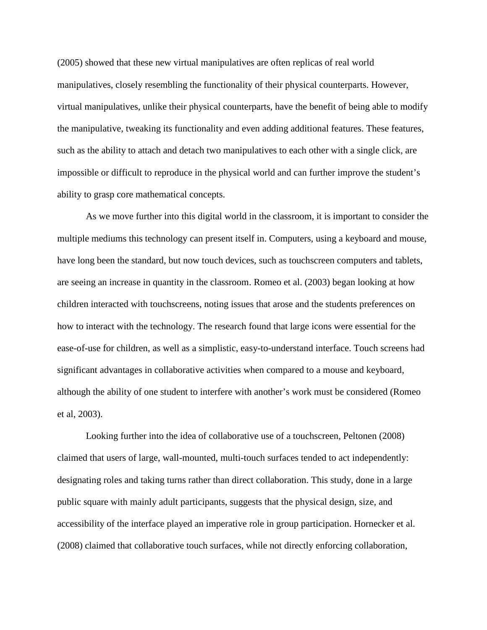(2005) showed that these new virtual manipulatives are often replicas of real world manipulatives, closely resembling the functionality of their physical counterparts. However, virtual manipulatives, unlike their physical counterparts, have the benefit of being able to modify the manipulative, tweaking its functionality and even adding additional features. These features, such as the ability to attach and detach two manipulatives to each other with a single click, are impossible or difficult to reproduce in the physical world and can further improve the student's ability to grasp core mathematical concepts.

As we move further into this digital world in the classroom, it is important to consider the multiple mediums this technology can present itself in. Computers, using a keyboard and mouse, have long been the standard, but now touch devices, such as touchscreen computers and tablets, are seeing an increase in quantity in the classroom. Romeo et al. (2003) began looking at how children interacted with touchscreens, noting issues that arose and the students preferences on how to interact with the technology. The research found that large icons were essential for the ease-of-use for children, as well as a simplistic, easy-to-understand interface. Touch screens had significant advantages in collaborative activities when compared to a mouse and keyboard, although the ability of one student to interfere with another's work must be considered (Romeo et al, 2003).

Looking further into the idea of collaborative use of a touchscreen, Peltonen (2008) claimed that users of large, wall-mounted, multi-touch surfaces tended to act independently: designating roles and taking turns rather than direct collaboration. This study, done in a large public square with mainly adult participants, suggests that the physical design, size, and accessibility of the interface played an imperative role in group participation. Hornecker et al. (2008) claimed that collaborative touch surfaces, while not directly enforcing collaboration,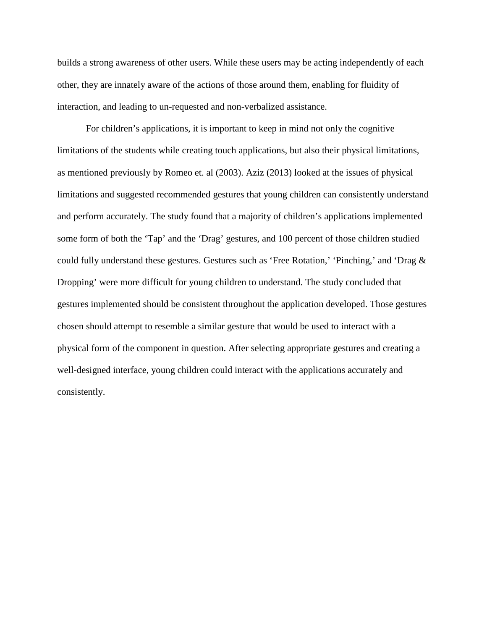builds a strong awareness of other users. While these users may be acting independently of each other, they are innately aware of the actions of those around them, enabling for fluidity of interaction, and leading to un-requested and non-verbalized assistance.

For children's applications, it is important to keep in mind not only the cognitive limitations of the students while creating touch applications, but also their physical limitations, as mentioned previously by Romeo et. al (2003). Aziz (2013) looked at the issues of physical limitations and suggested recommended gestures that young children can consistently understand and perform accurately. The study found that a majority of children's applications implemented some form of both the 'Tap' and the 'Drag' gestures, and 100 percent of those children studied could fully understand these gestures. Gestures such as 'Free Rotation,' 'Pinching,' and 'Drag & Dropping' were more difficult for young children to understand. The study concluded that gestures implemented should be consistent throughout the application developed. Those gestures chosen should attempt to resemble a similar gesture that would be used to interact with a physical form of the component in question. After selecting appropriate gestures and creating a well-designed interface, young children could interact with the applications accurately and consistently.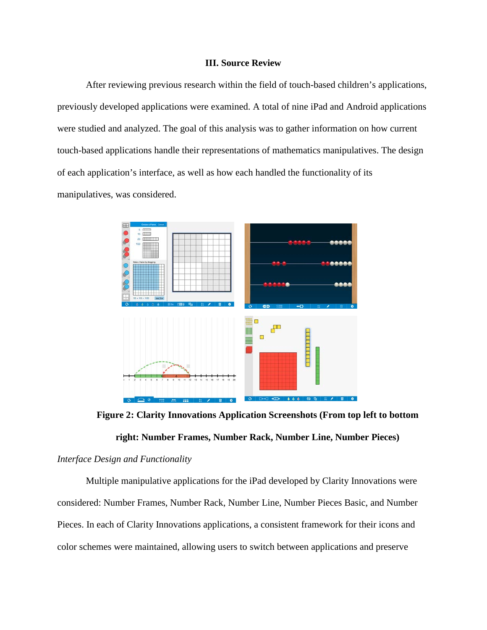## **III. Source Review**

After reviewing previous research within the field of touch-based children's applications, previously developed applications were examined. A total of nine iPad and Android applications were studied and analyzed. The goal of this analysis was to gather information on how current touch-based applications handle their representations of mathematics manipulatives. The design of each application's interface, as well as how each handled the functionality of its manipulatives, was considered.



**Figure 2: Clarity Innovations Application Screenshots (From top left to bottom** 

## **right: Number Frames, Number Rack, Number Line, Number Pieces)**

#### *Interface Design and Functionality*

Multiple manipulative applications for the iPad developed by Clarity Innovations were considered: Number Frames, Number Rack, Number Line, Number Pieces Basic, and Number Pieces. In each of Clarity Innovations applications, a consistent framework for their icons and color schemes were maintained, allowing users to switch between applications and preserve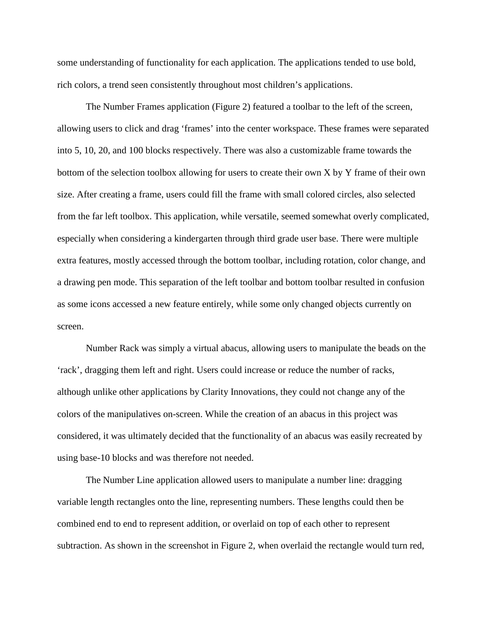some understanding of functionality for each application. The applications tended to use bold, rich colors, a trend seen consistently throughout most children's applications.

The Number Frames application (Figure 2) featured a toolbar to the left of the screen, allowing users to click and drag 'frames' into the center workspace. These frames were separated into 5, 10, 20, and 100 blocks respectively. There was also a customizable frame towards the bottom of the selection toolbox allowing for users to create their own X by Y frame of their own size. After creating a frame, users could fill the frame with small colored circles, also selected from the far left toolbox. This application, while versatile, seemed somewhat overly complicated, especially when considering a kindergarten through third grade user base. There were multiple extra features, mostly accessed through the bottom toolbar, including rotation, color change, and a drawing pen mode. This separation of the left toolbar and bottom toolbar resulted in confusion as some icons accessed a new feature entirely, while some only changed objects currently on screen.

Number Rack was simply a virtual abacus, allowing users to manipulate the beads on the 'rack', dragging them left and right. Users could increase or reduce the number of racks, although unlike other applications by Clarity Innovations, they could not change any of the colors of the manipulatives on-screen. While the creation of an abacus in this project was considered, it was ultimately decided that the functionality of an abacus was easily recreated by using base-10 blocks and was therefore not needed.

The Number Line application allowed users to manipulate a number line: dragging variable length rectangles onto the line, representing numbers. These lengths could then be combined end to end to represent addition, or overlaid on top of each other to represent subtraction. As shown in the screenshot in Figure 2, when overlaid the rectangle would turn red,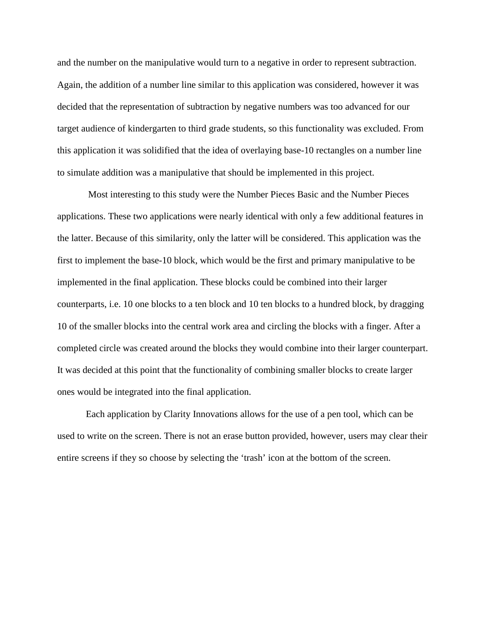and the number on the manipulative would turn to a negative in order to represent subtraction. Again, the addition of a number line similar to this application was considered, however it was decided that the representation of subtraction by negative numbers was too advanced for our target audience of kindergarten to third grade students, so this functionality was excluded. From this application it was solidified that the idea of overlaying base-10 rectangles on a number line to simulate addition was a manipulative that should be implemented in this project.

Most interesting to this study were the Number Pieces Basic and the Number Pieces applications. These two applications were nearly identical with only a few additional features in the latter. Because of this similarity, only the latter will be considered. This application was the first to implement the base-10 block, which would be the first and primary manipulative to be implemented in the final application. These blocks could be combined into their larger counterparts, i.e. 10 one blocks to a ten block and 10 ten blocks to a hundred block, by dragging 10 of the smaller blocks into the central work area and circling the blocks with a finger. After a completed circle was created around the blocks they would combine into their larger counterpart. It was decided at this point that the functionality of combining smaller blocks to create larger ones would be integrated into the final application.

Each application by Clarity Innovations allows for the use of a pen tool, which can be used to write on the screen. There is not an erase button provided, however, users may clear their entire screens if they so choose by selecting the 'trash' icon at the bottom of the screen.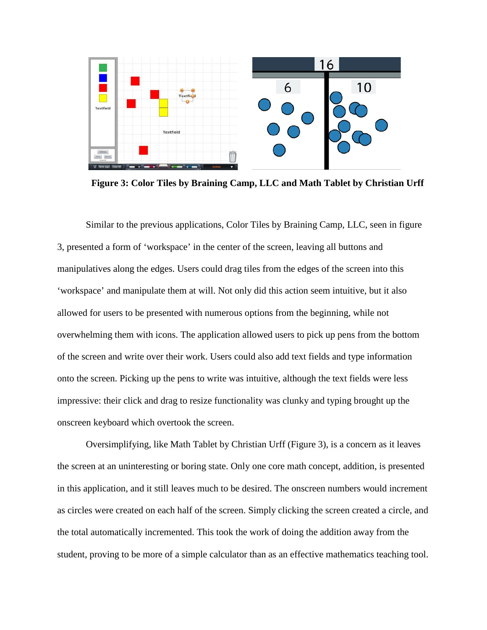

**Figure 3: Color Tiles by Braining Camp, LLC and Math Tablet by Christian Urff**

Similar to the previous applications, Color Tiles by Braining Camp, LLC, seen in figure 3, presented a form of 'workspace' in the center of the screen, leaving all buttons and manipulatives along the edges. Users could drag tiles from the edges of the screen into this 'workspace' and manipulate them at will. Not only did this action seem intuitive, but it also allowed for users to be presented with numerous options from the beginning, while not overwhelming them with icons. The application allowed users to pick up pens from the bottom of the screen and write over their work. Users could also add text fields and type information onto the screen. Picking up the pens to write was intuitive, although the text fields were less impressive: their click and drag to resize functionality was clunky and typing brought up the onscreen keyboard which overtook the screen.

Oversimplifying, like Math Tablet by Christian Urff (Figure 3), is a concern as it leaves the screen at an uninteresting or boring state. Only one core math concept, addition, is presented in this application, and it still leaves much to be desired. The onscreen numbers would increment as circles were created on each half of the screen. Simply clicking the screen created a circle, and the total automatically incremented. This took the work of doing the addition away from the student, proving to be more of a simple calculator than as an effective mathematics teaching tool.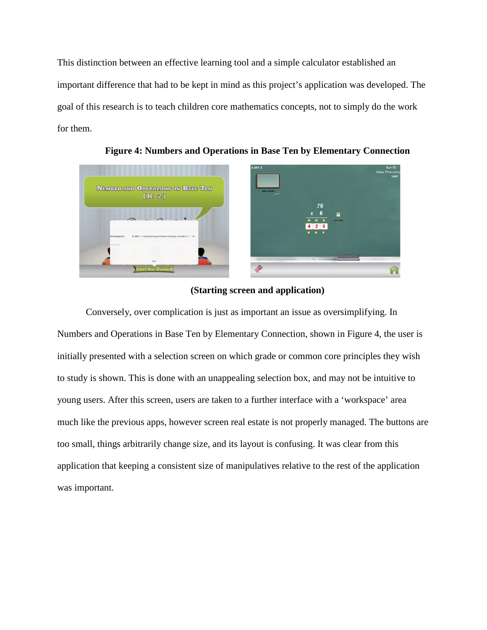This distinction between an effective learning tool and a simple calculator established an important difference that had to be kept in mind as this project's application was developed. The goal of this research is to teach children core mathematics concepts, not to simply do the work for them.



**Figure 4: Numbers and Operations in Base Ten by Elementary Connection** 

## **(Starting screen and application)**

Conversely, over complication is just as important an issue as oversimplifying. In Numbers and Operations in Base Ten by Elementary Connection, shown in Figure 4, the user is initially presented with a selection screen on which grade or common core principles they wish to study is shown. This is done with an unappealing selection box, and may not be intuitive to young users. After this screen, users are taken to a further interface with a 'workspace' area much like the previous apps, however screen real estate is not properly managed. The buttons are too small, things arbitrarily change size, and its layout is confusing. It was clear from this application that keeping a consistent size of manipulatives relative to the rest of the application was important.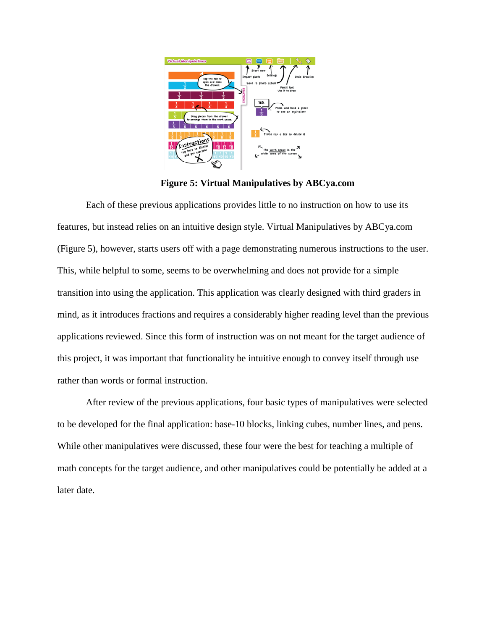

**Figure 5: Virtual Manipulatives by ABCya.com**

Each of these previous applications provides little to no instruction on how to use its features, but instead relies on an intuitive design style. Virtual Manipulatives by ABCya.com (Figure 5), however, starts users off with a page demonstrating numerous instructions to the user. This, while helpful to some, seems to be overwhelming and does not provide for a simple transition into using the application. This application was clearly designed with third graders in mind, as it introduces fractions and requires a considerably higher reading level than the previous applications reviewed. Since this form of instruction was on not meant for the target audience of this project, it was important that functionality be intuitive enough to convey itself through use rather than words or formal instruction.

After review of the previous applications, four basic types of manipulatives were selected to be developed for the final application: base-10 blocks, linking cubes, number lines, and pens. While other manipulatives were discussed, these four were the best for teaching a multiple of math concepts for the target audience, and other manipulatives could be potentially be added at a later date.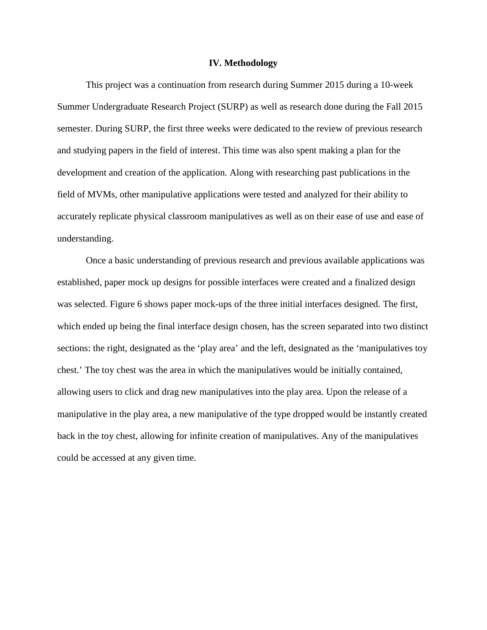#### **IV. Methodology**

This project was a continuation from research during Summer 2015 during a 10-week Summer Undergraduate Research Project (SURP) as well as research done during the Fall 2015 semester. During SURP, the first three weeks were dedicated to the review of previous research and studying papers in the field of interest. This time was also spent making a plan for the development and creation of the application. Along with researching past publications in the field of MVMs, other manipulative applications were tested and analyzed for their ability to accurately replicate physical classroom manipulatives as well as on their ease of use and ease of understanding.

Once a basic understanding of previous research and previous available applications was established, paper mock up designs for possible interfaces were created and a finalized design was selected. Figure 6 shows paper mock-ups of the three initial interfaces designed. The first, which ended up being the final interface design chosen, has the screen separated into two distinct sections: the right, designated as the 'play area' and the left, designated as the 'manipulatives toy chest.' The toy chest was the area in which the manipulatives would be initially contained, allowing users to click and drag new manipulatives into the play area. Upon the release of a manipulative in the play area, a new manipulative of the type dropped would be instantly created back in the toy chest, allowing for infinite creation of manipulatives. Any of the manipulatives could be accessed at any given time.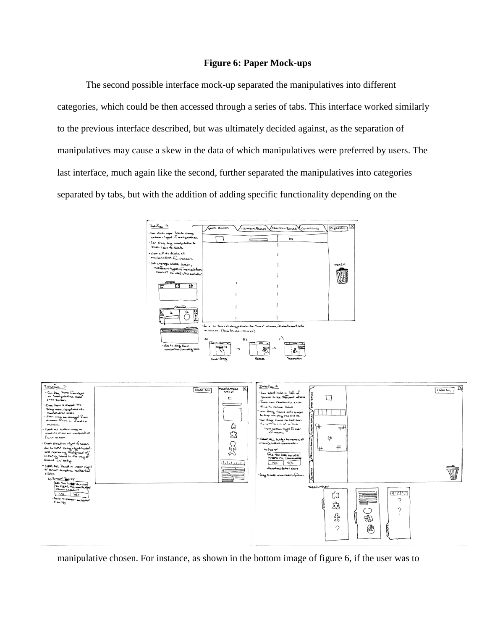## **Figure 6: Paper Mock-ups**

The second possible interface mock-up separated the manipulatives into different categories, which could be then accessed through a series of tabs. This interface worked similarly to the previous interface described, but was ultimately decided against, as the separation of manipulatives may cause a skew in the data of which manipulatives were preferred by users. The last interface, much again like the second, further separated the manipulatives into categories separated by tabs, but with the addition of adding specific functionality depending on the



manipulative chosen. For instance, as shown in the bottom image of figure 6, if the user was to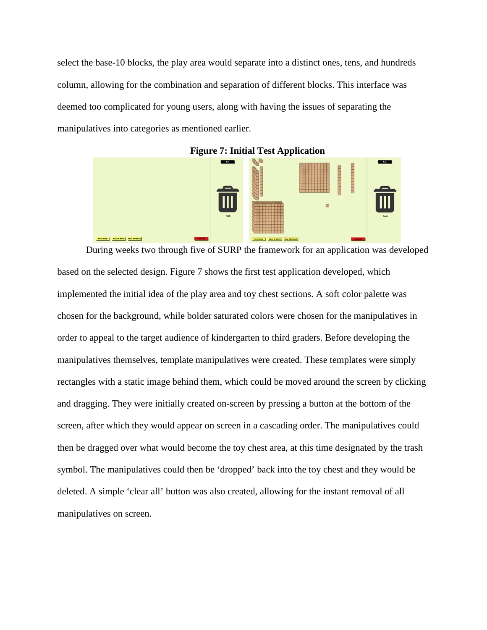select the base-10 blocks, the play area would separate into a distinct ones, tens, and hundreds column, allowing for the combination and separation of different blocks. This interface was deemed too complicated for young users, along with having the issues of separating the manipulatives into categories as mentioned earlier.



During weeks two through five of SURP the framework for an application was developed based on the selected design. Figure 7 shows the first test application developed, which implemented the initial idea of the play area and toy chest sections. A soft color palette was chosen for the background, while bolder saturated colors were chosen for the manipulatives in order to appeal to the target audience of kindergarten to third graders. Before developing the manipulatives themselves, template manipulatives were created. These templates were simply rectangles with a static image behind them, which could be moved around the screen by clicking and dragging. They were initially created on-screen by pressing a button at the bottom of the screen, after which they would appear on screen in a cascading order. The manipulatives could then be dragged over what would become the toy chest area, at this time designated by the trash symbol. The manipulatives could then be 'dropped' back into the toy chest and they would be deleted. A simple 'clear all' button was also created, allowing for the instant removal of all manipulatives on screen.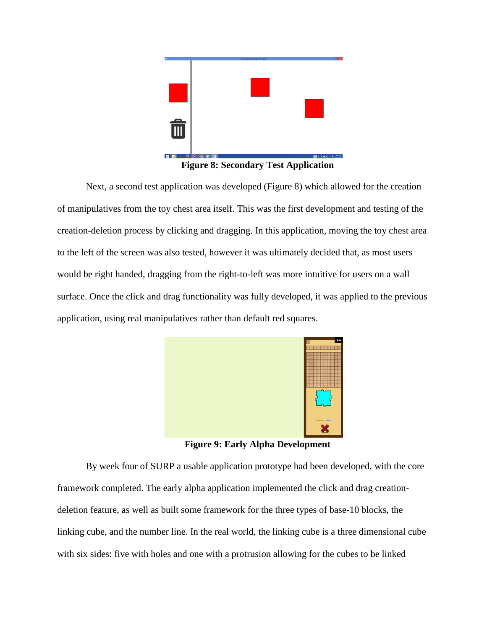

**Figure 8: Secondary Test Application**

Next, a second test application was developed (Figure 8) which allowed for the creation of manipulatives from the toy chest area itself. This was the first development and testing of the creation-deletion process by clicking and dragging. In this application, moving the toy chest area to the left of the screen was also tested, however it was ultimately decided that, as most users would be right handed, dragging from the right-to-left was more intuitive for users on a wall surface. Once the click and drag functionality was fully developed, it was applied to the previous application, using real manipulatives rather than default red squares.



**Figure 9: Early Alpha Development**

By week four of SURP a usable application prototype had been developed, with the core framework completed. The early alpha application implemented the click and drag creationdeletion feature, as well as built some framework for the three types of base-10 blocks, the linking cube, and the number line. In the real world, the linking cube is a three dimensional cube with six sides: five with holes and one with a protrusion allowing for the cubes to be linked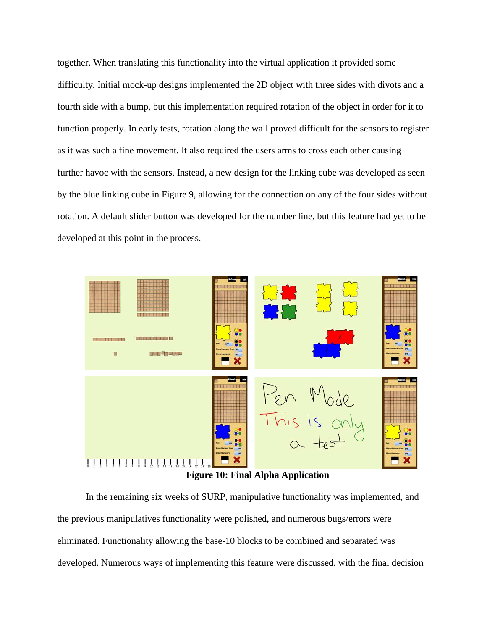together. When translating this functionality into the virtual application it provided some difficulty. Initial mock-up designs implemented the 2D object with three sides with divots and a fourth side with a bump, but this implementation required rotation of the object in order for it to function properly. In early tests, rotation along the wall proved difficult for the sensors to register as it was such a fine movement. It also required the users arms to cross each other causing further havoc with the sensors. Instead, a new design for the linking cube was developed as seen by the blue linking cube in Figure 9, allowing for the connection on any of the four sides without rotation. A default slider button was developed for the number line, but this feature had yet to be developed at this point in the process.



**Figure 10: Final Alpha Application**

In the remaining six weeks of SURP, manipulative functionality was implemented, and the previous manipulatives functionality were polished, and numerous bugs/errors were eliminated. Functionality allowing the base-10 blocks to be combined and separated was developed. Numerous ways of implementing this feature were discussed, with the final decision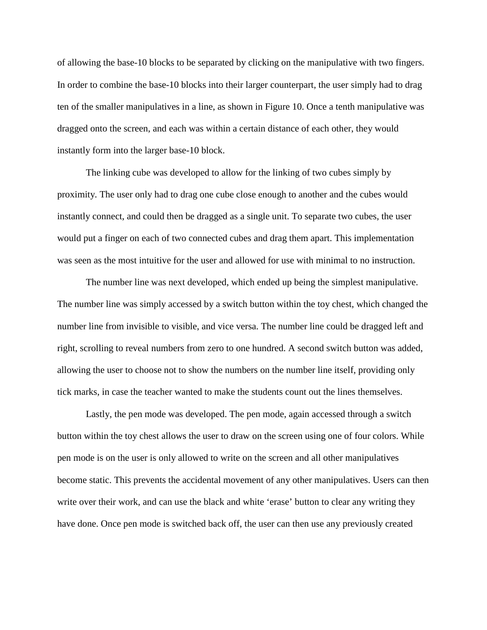of allowing the base-10 blocks to be separated by clicking on the manipulative with two fingers. In order to combine the base-10 blocks into their larger counterpart, the user simply had to drag ten of the smaller manipulatives in a line, as shown in Figure 10. Once a tenth manipulative was dragged onto the screen, and each was within a certain distance of each other, they would instantly form into the larger base-10 block.

The linking cube was developed to allow for the linking of two cubes simply by proximity. The user only had to drag one cube close enough to another and the cubes would instantly connect, and could then be dragged as a single unit. To separate two cubes, the user would put a finger on each of two connected cubes and drag them apart. This implementation was seen as the most intuitive for the user and allowed for use with minimal to no instruction.

The number line was next developed, which ended up being the simplest manipulative. The number line was simply accessed by a switch button within the toy chest, which changed the number line from invisible to visible, and vice versa. The number line could be dragged left and right, scrolling to reveal numbers from zero to one hundred. A second switch button was added, allowing the user to choose not to show the numbers on the number line itself, providing only tick marks, in case the teacher wanted to make the students count out the lines themselves.

Lastly, the pen mode was developed. The pen mode, again accessed through a switch button within the toy chest allows the user to draw on the screen using one of four colors. While pen mode is on the user is only allowed to write on the screen and all other manipulatives become static. This prevents the accidental movement of any other manipulatives. Users can then write over their work, and can use the black and white 'erase' button to clear any writing they have done. Once pen mode is switched back off, the user can then use any previously created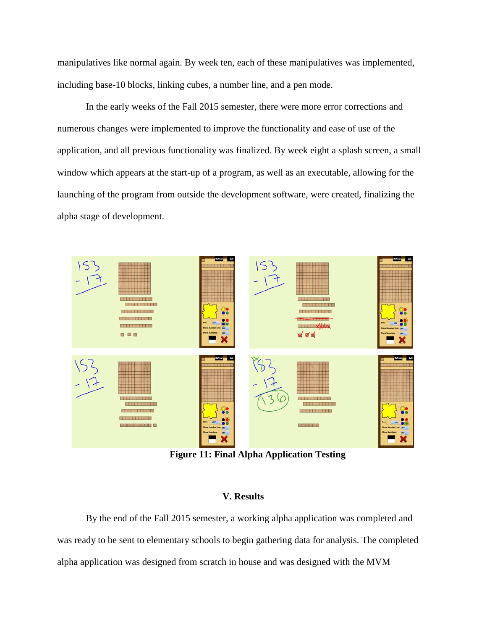manipulatives like normal again. By week ten, each of these manipulatives was implemented, including base-10 blocks, linking cubes, a number line, and a pen mode.

In the early weeks of the Fall 2015 semester, there were more error corrections and numerous changes were implemented to improve the functionality and ease of use of the application, and all previous functionality was finalized. By week eight a splash screen, a small window which appears at the start-up of a program, as well as an executable, allowing for the launching of the program from outside the development software, were created, finalizing the alpha stage of development.



**Figure 11: Final Alpha Application Testing**

## **V. Results**

By the end of the Fall 2015 semester, a working alpha application was completed and was ready to be sent to elementary schools to begin gathering data for analysis. The completed alpha application was designed from scratch in house and was designed with the MVM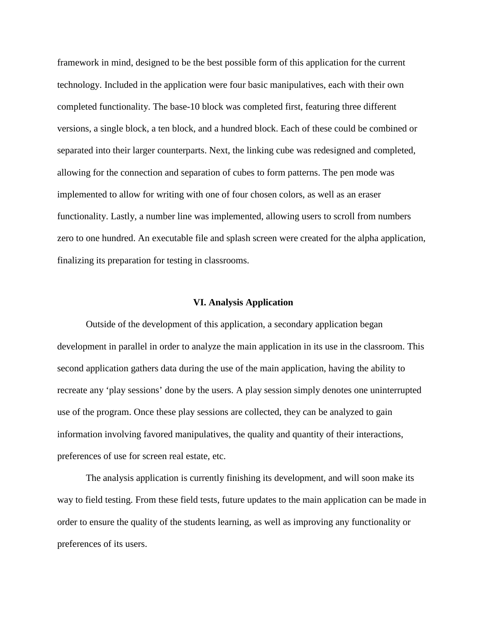framework in mind, designed to be the best possible form of this application for the current technology. Included in the application were four basic manipulatives, each with their own completed functionality. The base-10 block was completed first, featuring three different versions, a single block, a ten block, and a hundred block. Each of these could be combined or separated into their larger counterparts. Next, the linking cube was redesigned and completed, allowing for the connection and separation of cubes to form patterns. The pen mode was implemented to allow for writing with one of four chosen colors, as well as an eraser functionality. Lastly, a number line was implemented, allowing users to scroll from numbers zero to one hundred. An executable file and splash screen were created for the alpha application, finalizing its preparation for testing in classrooms.

#### **VI. Analysis Application**

Outside of the development of this application, a secondary application began development in parallel in order to analyze the main application in its use in the classroom. This second application gathers data during the use of the main application, having the ability to recreate any 'play sessions' done by the users. A play session simply denotes one uninterrupted use of the program. Once these play sessions are collected, they can be analyzed to gain information involving favored manipulatives, the quality and quantity of their interactions, preferences of use for screen real estate, etc.

The analysis application is currently finishing its development, and will soon make its way to field testing. From these field tests, future updates to the main application can be made in order to ensure the quality of the students learning, as well as improving any functionality or preferences of its users.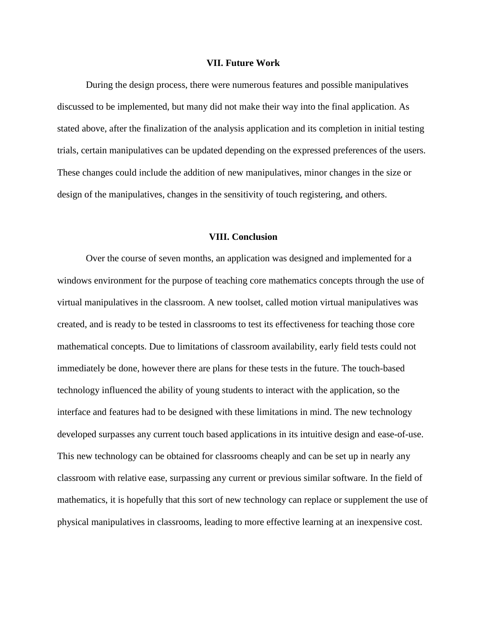#### **VII. Future Work**

During the design process, there were numerous features and possible manipulatives discussed to be implemented, but many did not make their way into the final application. As stated above, after the finalization of the analysis application and its completion in initial testing trials, certain manipulatives can be updated depending on the expressed preferences of the users. These changes could include the addition of new manipulatives, minor changes in the size or design of the manipulatives, changes in the sensitivity of touch registering, and others.

#### **VIII. Conclusion**

Over the course of seven months, an application was designed and implemented for a windows environment for the purpose of teaching core mathematics concepts through the use of virtual manipulatives in the classroom. A new toolset, called motion virtual manipulatives was created, and is ready to be tested in classrooms to test its effectiveness for teaching those core mathematical concepts. Due to limitations of classroom availability, early field tests could not immediately be done, however there are plans for these tests in the future. The touch-based technology influenced the ability of young students to interact with the application, so the interface and features had to be designed with these limitations in mind. The new technology developed surpasses any current touch based applications in its intuitive design and ease-of-use. This new technology can be obtained for classrooms cheaply and can be set up in nearly any classroom with relative ease, surpassing any current or previous similar software. In the field of mathematics, it is hopefully that this sort of new technology can replace or supplement the use of physical manipulatives in classrooms, leading to more effective learning at an inexpensive cost.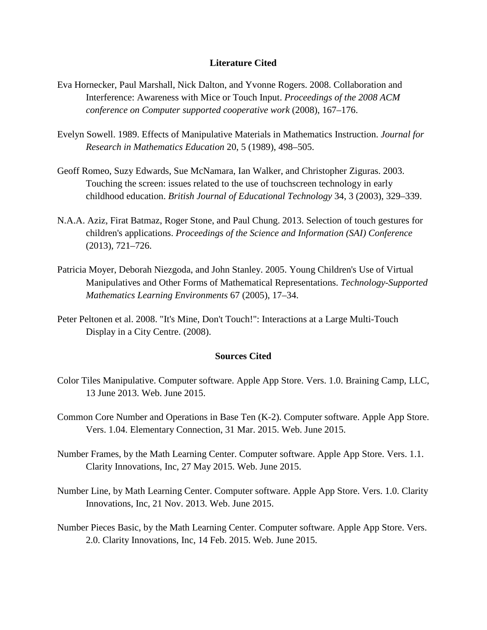## **Literature Cited**

- Eva Hornecker, Paul Marshall, Nick Dalton, and Yvonne Rogers. 2008. Collaboration and Interference: Awareness with Mice or Touch Input. *Proceedings of the 2008 ACM conference on Computer supported cooperative work* (2008), 167–176.
- Evelyn Sowell. 1989. Effects of Manipulative Materials in Mathematics Instruction. *Journal for Research in Mathematics Education* 20, 5 (1989), 498–505.
- Geoff Romeo, Suzy Edwards, Sue McNamara, Ian Walker, and Christopher Ziguras. 2003. Touching the screen: issues related to the use of touchscreen technology in early childhood education. *British Journal of Educational Technology* 34, 3 (2003), 329–339.
- N.A.A. Aziz, Firat Batmaz, Roger Stone, and Paul Chung. 2013. Selection of touch gestures for children's applications. *Proceedings of the Science and Information (SAI) Conference* (2013), 721–726.
- Patricia Moyer, Deborah Niezgoda, and John Stanley. 2005. Young Children's Use of Virtual Manipulatives and Other Forms of Mathematical Representations. *Technology-Supported Mathematics Learning Environments* 67 (2005), 17–34.
- Peter Peltonen et al. 2008. "It's Mine, Don't Touch!": Interactions at a Large Multi-Touch Display in a City Centre. (2008).

## **Sources Cited**

- Color Tiles Manipulative. Computer software. Apple App Store. Vers. 1.0. Braining Camp, LLC, 13 June 2013. Web. June 2015.
- Common Core Number and Operations in Base Ten (K-2). Computer software. Apple App Store. Vers. 1.04. Elementary Connection, 31 Mar. 2015. Web. June 2015.
- Number Frames, by the Math Learning Center. Computer software. Apple App Store. Vers. 1.1. Clarity Innovations, Inc, 27 May 2015. Web. June 2015.
- Number Line, by Math Learning Center. Computer software. Apple App Store. Vers. 1.0. Clarity Innovations, Inc, 21 Nov. 2013. Web. June 2015.
- Number Pieces Basic, by the Math Learning Center. Computer software. Apple App Store. Vers. 2.0. Clarity Innovations, Inc, 14 Feb. 2015. Web. June 2015.